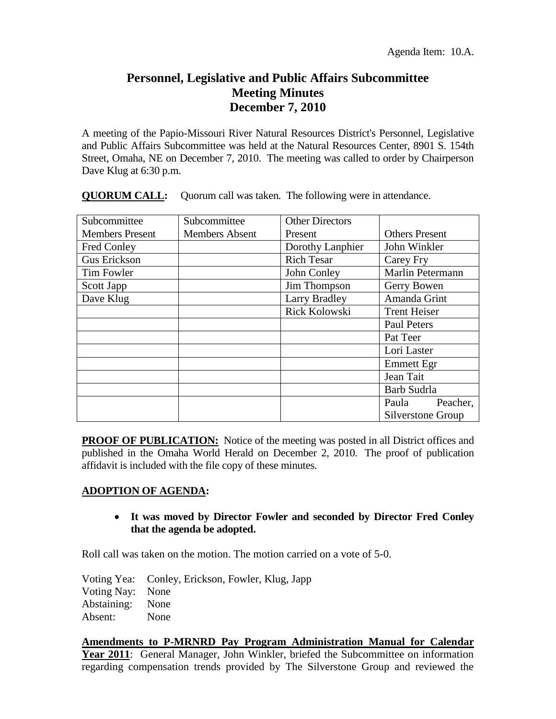## **Personnel, Legislative and Public Affairs Subcommittee Meeting Minutes December 7, 2010**

A meeting of the Papio-Missouri River Natural Resources District's Personnel, Legislative and Public Affairs Subcommittee was held at the Natural Resources Center, 8901 S. 154th Street, Omaha, NE on December 7, 2010. The meeting was called to order by Chairperson Dave Klug at 6:30 p.m.

| Subcommittee           | Subcommittee          | <b>Other Directors</b> |                       |
|------------------------|-----------------------|------------------------|-----------------------|
| <b>Members Present</b> | <b>Members Absent</b> | Present                | <b>Others Present</b> |
| Fred Conley            |                       | Dorothy Lanphier       | John Winkler          |
| Gus Erickson           |                       | <b>Rich Tesar</b>      | Carey Fry             |
| Tim Fowler             |                       | John Conley            | Marlin Petermann      |
| Scott Japp             |                       | Jim Thompson           | Gerry Bowen           |
| Dave Klug              |                       | Larry Bradley          | Amanda Grint          |
|                        |                       | Rick Kolowski          | <b>Trent Heiser</b>   |
|                        |                       |                        | <b>Paul Peters</b>    |
|                        |                       |                        | Pat Teer              |
|                        |                       |                        | Lori Laster           |
|                        |                       |                        | Emmett Egr            |
|                        |                       |                        | Jean Tait             |
|                        |                       |                        | Barb Sudrla           |
|                        |                       |                        | Peacher,<br>Paula     |
|                        |                       |                        | Silverstone Group     |

**QUORUM CALL:** Quorum call was taken. The following were in attendance.

**PROOF OF PUBLICATION:** Notice of the meeting was posted in all District offices and published in the Omaha World Herald on December 2, 2010. The proof of publication affidavit is included with the file copy of these minutes.

## **ADOPTION OF AGENDA:**

## **It was moved by Director Fowler and seconded by Director Fred Conley that the agenda be adopted.**

Roll call was taken on the motion. The motion carried on a vote of 5-0.

Voting Yea: Conley, Erickson, Fowler, Klug, Japp Voting Nay: None Abstaining: None Absent: None

**Amendments to P-MRNRD Pay Program Administration Manual for Calendar**  Year 2011: General Manager, John Winkler, briefed the Subcommittee on information regarding compensation trends provided by The Silverstone Group and reviewed the